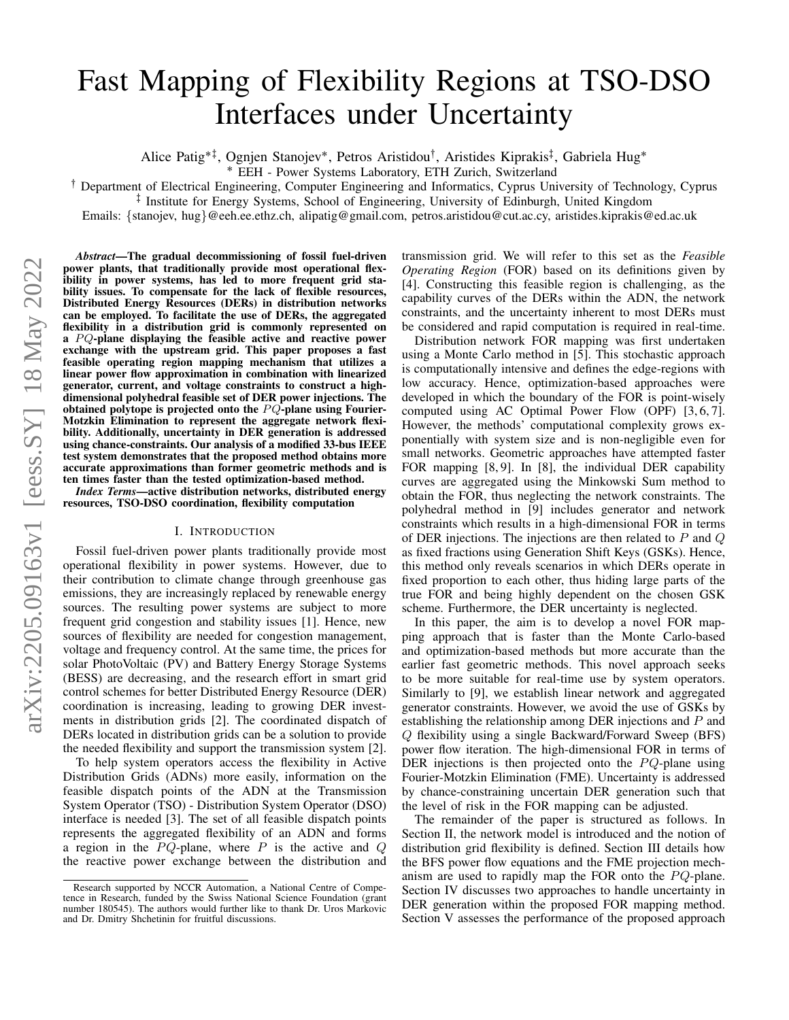# Fast Mapping of Flexibility Regions at TSO-DSO Interfaces under Uncertainty

Alice Patig\*<sup>‡</sup>, Ognjen Stanojev\*, Petros Aristidou<sup>†</sup>, Aristides Kiprakis<sup>‡</sup>, Gabriela Hug\*

˚ EEH - Power Systems Laboratory, ETH Zurich, Switzerland

: Department of Electrical Engineering, Computer Engineering and Informatics, Cyprus University of Technology, Cyprus

; Institute for Energy Systems, School of Engineering, University of Edinburgh, United Kingdom

Emails: {stanojev, hug}@eeh.ee.ethz.ch, alipatig@gmail.com, petros.aristidou@cut.ac.cy, aristides.kiprakis@ed.ac.uk

*Abstract*—The gradual decommissioning of fossil fuel-driven power plants, that traditionally provide most operational flexibility in power systems, has led to more frequent grid stability issues. To compensate for the lack of flexible resources, Distributed Energy Resources (DERs) in distribution networks can be employed. To facilitate the use of DERs, the aggregated flexibility in a distribution grid is commonly represented on a  $PQ$ -plane displaying the feasible active and reactive power exchange with the upstream grid. This paper proposes a fast feasible operating region mapping mechanism that utilizes a linear power flow approximation in combination with linearized generator, current, and voltage constraints to construct a highdimensional polyhedral feasible set of DER power injections. The obtained polytope is projected onto the  $PQ$ -plane using Fourier-Motzkin Elimination to represent the aggregate network flexibility. Additionally, uncertainty in DER generation is addressed using chance-constraints. Our analysis of a modified 33-bus IEEE test system demonstrates that the proposed method obtains more accurate approximations than former geometric methods and is ten times faster than the tested optimization-based method.

*Index Terms*—active distribution networks, distributed energy resources, TSO-DSO coordination, flexibility computation

#### I. INTRODUCTION

Fossil fuel-driven power plants traditionally provide most operational flexibility in power systems. However, due to their contribution to climate change through greenhouse gas emissions, they are increasingly replaced by renewable energy sources. The resulting power systems are subject to more frequent grid congestion and stability issues [1]. Hence, new sources of flexibility are needed for congestion management, voltage and frequency control. At the same time, the prices for solar PhotoVoltaic (PV) and Battery Energy Storage Systems (BESS) are decreasing, and the research effort in smart grid control schemes for better Distributed Energy Resource (DER) coordination is increasing, leading to growing DER investments in distribution grids [2]. The coordinated dispatch of DERs located in distribution grids can be a solution to provide the needed flexibility and support the transmission system [2].

To help system operators access the flexibility in Active Distribution Grids (ADNs) more easily, information on the feasible dispatch points of the ADN at the Transmission System Operator (TSO) - Distribution System Operator (DSO) interface is needed [3]. The set of all feasible dispatch points represents the aggregated flexibility of an ADN and forms a region in the  $PQ$ -plane, where P is the active and Q the reactive power exchange between the distribution and transmission grid. We will refer to this set as the *Feasible Operating Region* (FOR) based on its definitions given by [4]. Constructing this feasible region is challenging, as the capability curves of the DERs within the ADN, the network constraints, and the uncertainty inherent to most DERs must be considered and rapid computation is required in real-time.

Distribution network FOR mapping was first undertaken using a Monte Carlo method in [5]. This stochastic approach is computationally intensive and defines the edge-regions with low accuracy. Hence, optimization-based approaches were developed in which the boundary of the FOR is point-wisely computed using AC Optimal Power Flow (OPF) [3, 6, 7]. However, the methods' computational complexity grows exponentially with system size and is non-negligible even for small networks. Geometric approaches have attempted faster FOR mapping [8, 9]. In [8], the individual DER capability curves are aggregated using the Minkowski Sum method to obtain the FOR, thus neglecting the network constraints. The polyhedral method in [9] includes generator and network constraints which results in a high-dimensional FOR in terms of DER injections. The injections are then related to  $P$  and  $Q$ as fixed fractions using Generation Shift Keys (GSKs). Hence, this method only reveals scenarios in which DERs operate in fixed proportion to each other, thus hiding large parts of the true FOR and being highly dependent on the chosen GSK scheme. Furthermore, the DER uncertainty is neglected.

In this paper, the aim is to develop a novel FOR mapping approach that is faster than the Monte Carlo-based and optimization-based methods but more accurate than the earlier fast geometric methods. This novel approach seeks to be more suitable for real-time use by system operators. Similarly to [9], we establish linear network and aggregated generator constraints. However, we avoid the use of GSKs by establishing the relationship among DER injections and P and Q flexibility using a single Backward/Forward Sweep (BFS) power flow iteration. The high-dimensional FOR in terms of DER injections is then projected onto the  $PQ$ -plane using Fourier-Motzkin Elimination (FME). Uncertainty is addressed by chance-constraining uncertain DER generation such that the level of risk in the FOR mapping can be adjusted.

The remainder of the paper is structured as follows. In Section II, the network model is introduced and the notion of distribution grid flexibility is defined. Section III details how the BFS power flow equations and the FME projection mechanism are used to rapidly map the FOR onto the  $PQ$ -plane. Section IV discusses two approaches to handle uncertainty in DER generation within the proposed FOR mapping method. Section V assesses the performance of the proposed approach

Research supported by NCCR Automation, a National Centre of Competence in Research, funded by the Swiss National Science Foundation (grant number 180545). The authors would further like to thank Dr. Uros Markovic and Dr. Dmitry Shchetinin for fruitful discussions.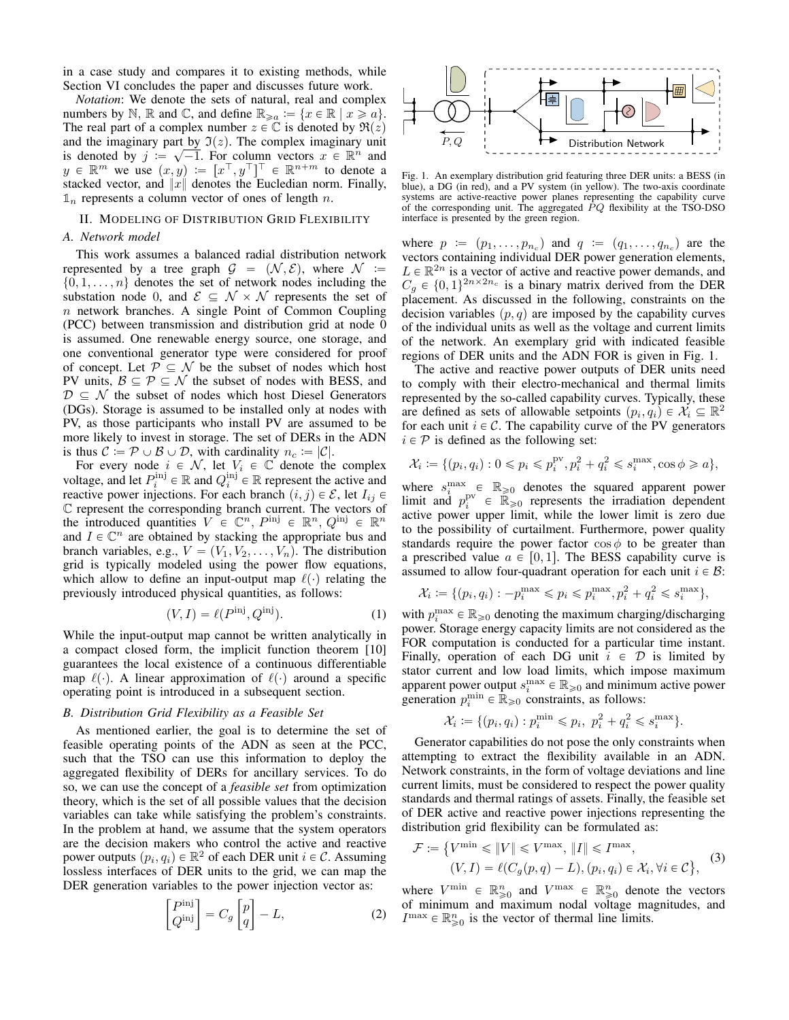in a case study and compares it to existing methods, while Section VI concludes the paper and discusses future work.

*Notation*: We denote the sets of natural, real and complex numbers by  $\mathbb{N}$ ,  $\mathbb{R}$  and  $\mathbb{C}$ , and define  $\mathbb{R}_{\geq a} := \{x \in \mathbb{R} \mid x \geq a\}.$ The real part of a complex number  $z \in \mathbb{C}$  is denoted by  $\Re(z)$ and the imaginary part by  $\mathfrak{I}(z)$ . The complex imaginary unit is denoted by  $j := \sqrt{-1}$ . For column vectors  $x \in \mathbb{R}^n$  and  $y \in \mathbb{R}^m$  we use  $(x, y) := [x^\top, y^\top]^\top \in \mathbb{R}^{n+m}$  to denote a stacked vector, and  $||x||$  denotes the Eucledian norm. Finally,  $\mathbb{1}_n$  represents a column vector of ones of length n.

## II. MODELING OF DISTRIBUTION GRID FLEXIBILITY

#### *A. Network model*

This work assumes a balanced radial distribution network represented by a tree graph  $\mathcal{G} = (\mathcal{N}, \mathcal{E})$ , where  $\mathcal{N} :=$  $\{0, 1, \ldots, n\}$  denotes the set of network nodes including the substation node 0, and  $\mathcal{E} \subseteq \mathcal{N} \times \mathcal{N}$  represents the set of  $n$  network branches. A single Point of Common Coupling (PCC) between transmission and distribution grid at node 0 is assumed. One renewable energy source, one storage, and one conventional generator type were considered for proof of concept. Let  $P \subseteq \mathcal{N}$  be the subset of nodes which host PV units,  $\mathcal{B} \subseteq \mathcal{P} \subseteq \mathcal{N}$  the subset of nodes with BESS, and  $D \subseteq \mathcal{N}$  the subset of nodes which host Diesel Generators (DGs). Storage is assumed to be installed only at nodes with PV, as those participants who install PV are assumed to be more likely to invest in storage. The set of DERs in the ADN is thus  $C := \mathcal{P} \cup \mathcal{B} \cup \mathcal{D}$ , with cardinality  $n_c := |\mathcal{C}|$ .

For every node  $i \in \mathcal{N}$ , let  $V_i \in \mathbb{C}$  denote the complex voltage, and let  $P_i^{\text{inj}} \in \mathbb{R}$  and  $Q_i^{\text{inj}} \in \mathbb{R}$  represent the active and reactive power injections. For each branch  $(i, j) \in \mathcal{E}$ , let  $I_{ij} \in$ C represent the corresponding branch current. The vectors of the introduced quantities  $V \in \mathbb{C}^n$ ,  $P^{\text{inj}} \in \mathbb{R}^n$ ,  $Q^{\text{inj}} \in \mathbb{R}^n$ and  $I \in \mathbb{C}^n$  are obtained by stacking the appropriate bus and branch variables, e.g.,  $V = (V_1, V_2, \dots, V_n)$ . The distribution grid is typically modeled using the power flow equations, which allow to define an input-output map  $\ell(\cdot)$  relating the previously introduced physical quantities, as follows:

$$
(V, I) = \ell(P^{\text{inj}}, Q^{\text{inj}}). \tag{1}
$$

While the input-output map cannot be written analytically in a compact closed form, the implicit function theorem [10] guarantees the local existence of a continuous differentiable map  $\ell(\cdot)$ . A linear approximation of  $\ell(\cdot)$  around a specific operating point is introduced in a subsequent section.

#### *B. Distribution Grid Flexibility as a Feasible Set*

As mentioned earlier, the goal is to determine the set of feasible operating points of the ADN as seen at the PCC, such that the TSO can use this information to deploy the aggregated flexibility of DERs for ancillary services. To do so, we can use the concept of a *feasible set* from optimization theory, which is the set of all possible values that the decision variables can take while satisfying the problem's constraints. In the problem at hand, we assume that the system operators are the decision makers who control the active and reactive power outputs  $(p_i, q_i) \in \mathbb{R}^2$  of each DER unit  $i \in \mathcal{C}$ . Assuming lossless interfaces of DER units to the grid, we can map the

DER generation variables to the power injection vector as:  
\n
$$
\begin{bmatrix} P^{\text{inj}} \\ Q^{\text{inj}} \end{bmatrix} = C_g \begin{bmatrix} p \\ q \end{bmatrix} - L,
$$
\n(2)



Fig. 1. An exemplary distribution grid featuring three DER units: a BESS (in blue), a DG (in red), and a PV system (in yellow). The two-axis coordinate systems are active-reactive power planes representing the capability curve of the corresponding unit. The aggregated  $\dot{P}Q$  flexibility at the TSO-DSO interface is presented by the green region.

where  $p := (p_1, \ldots, p_{n_c})$  and  $q := (q_1, \ldots, q_{n_c})$  are the vectors containing individual DER power generation elements,  $L \in \mathbb{R}^{2n}$  is a vector of active and reactive power demands, and  $C_g \in \{0, 1\}^{2n \times 2n_c}$  is a binary matrix derived from the DER placement. As discussed in the following, constraints on the decision variables  $(p, q)$  are imposed by the capability curves of the individual units as well as the voltage and current limits of the network. An exemplary grid with indicated feasible regions of DER units and the ADN FOR is given in Fig. 1.

The active and reactive power outputs of DER units need to comply with their electro-mechanical and thermal limits represented by the so-called capability curves. Typically, these are defined as sets of allowable setpoints  $(p_i, q_i) \in \mathcal{X}_i \subseteq \mathbb{R}^2$ for each unit  $i \in \mathcal{C}$ . The capability curve of the PV generators  $i \in \mathcal{P}$  is defined as the following set:

$$
\mathcal{X}_i \coloneqq \{(p_i, q_i): 0 \leqslant p_i \leqslant p_i^{\text{pv}}, p_i^2 + q_i^2 \leqslant s_i^{\text{max}}, \cos \phi \geqslant a\},
$$

where  $s_i^{\max} \in \mathbb{R}_{\geq 0}$  denotes the squared apparent power limit and  $p_i^{\text{pv}} \in \widehat{\mathbb{R}}_{\geq 0}$  represents the irradiation dependent active power upper limit, while the lower limit is zero due to the possibility of curtailment. Furthermore, power quality standards require the power factor  $\cos \phi$  to be greater than a prescribed value  $a \in [0, 1]$ . The BESS capability curve is assumed to allow four-quadrant operation for each unit  $i \in \mathcal{B}$ :

$$
\mathcal{X}_i := \{ (p_i, q_i) : -p_i^{\max} \leqslant p_i \leqslant p_i^{\max}, p_i^2 + q_i^2 \leqslant s_i^{\max} \},\
$$

with  $p_i^{\max} \in \mathbb{R}_{\geq 0}$  denoting the maximum charging/discharging power. Storage energy capacity limits are not considered as the FOR computation is conducted for a particular time instant. Finally, operation of each DG unit  $i \in \mathcal{D}$  is limited by stator current and low load limits, which impose maximum apparent power output  $s_i^{\max} \in \mathbb{R}_{\geq 0}$  and minimum active power generation  $p_i^{\min} \in \mathbb{R}_{\geq 0}$  constraints, as follows:

$$
\mathcal{X}_i := \{ (p_i, q_i) : p_i^{\min} \leq p_i, \ p_i^2 + q_i^2 \leq s_i^{\max} \}.
$$

Generator capabilities do not pose the only constraints when attempting to extract the flexibility available in an ADN. Network constraints, in the form of voltage deviations and line current limits, must be considered to respect the power quality standards and thermal ratings of assets. Finally, the feasible set of DER active and reactive power injections representing the distribution grid flexibility can be formulated as:

$$
\mathcal{F} := \left\{ V^{\min} \leq \|V\| \leq V^{\max}, \|I\| \leq I^{\max}, (V, I) = \ell(C_g(p, q) - L), (p_i, q_i) \in \mathcal{X}_i, \forall i \in \mathcal{C} \right\},
$$
(3)

where  $V^{\min} \in \mathbb{R}^n_{\geq 0}$  and  $V^{\max} \in \mathbb{R}^n_{\geq 0}$  denote the vectors of minimum and maximum nodal voltage magnitudes, and  $I^{\max} \in \mathbb{R}_{\geqslant 0}^n$  is the vector of thermal line limits.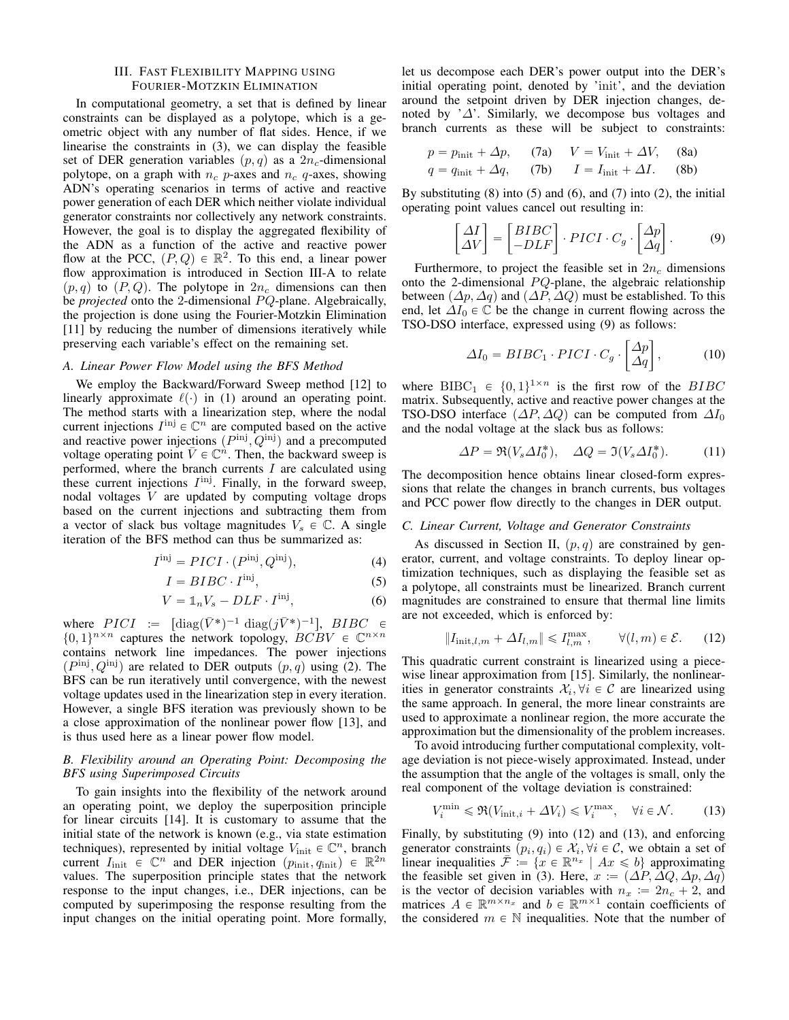# III. FAST FLEXIBILITY MAPPING USING FOURIER-MOTZKIN ELIMINATION

In computational geometry, a set that is defined by linear constraints can be displayed as a polytope, which is a geometric object with any number of flat sides. Hence, if we linearise the constraints in (3), we can display the feasible set of DER generation variables  $(p, q)$  as a  $2n_c$ -dimensional polytope, on a graph with  $n_c$  p-axes and  $n_c$  q-axes, showing ADN's operating scenarios in terms of active and reactive power generation of each DER which neither violate individual generator constraints nor collectively any network constraints. However, the goal is to display the aggregated flexibility of the ADN as a function of the active and reactive power flow at the PCC,  $(P, Q) \in \mathbb{R}^2$ . To this end, a linear power flow approximation is introduced in Section III-A to relate  $(p, q)$  to  $(P, Q)$ . The polytope in  $2n_c$  dimensions can then be *projected* onto the 2-dimensional PQ-plane. Algebraically, the projection is done using the Fourier-Motzkin Elimination [11] by reducing the number of dimensions iteratively while preserving each variable's effect on the remaining set.

### *A. Linear Power Flow Model using the BFS Method*

We employ the Backward/Forward Sweep method [12] to linearly approximate  $\ell(\cdot)$  in (1) around an operating point. The method starts with a linearization step, where the nodal current injections  $I^{\text{inj}} \in \mathbb{C}^n$  are computed based on the active and reactive power injections  $(P^{\text{inj}}, Q^{\text{inj}})$  and a precomputed voltage operating point  $\bar{V} \in \mathbb{C}^n$ . Then, the backward sweep is performed, where the branch currents  $I$  are calculated using these current injections  $I^{\text{inj}}$ . Finally, in the forward sweep, nodal voltages V are updated by computing voltage drops based on the current injections and subtracting them from a vector of slack bus voltage magnitudes  $V_s \in \mathbb{C}$ . A single iteration of the BFS method can thus be summarized as:

$$
I^{\text{inj}} = PICI \cdot (P^{\text{inj}}, Q^{\text{inj}}), \tag{4}
$$

$$
I = BIRC \cdot I^{\text{inj}},\tag{5}
$$

$$
V = \mathbb{1}_n V_s - D L F \cdot I^{\text{inj}},\tag{6}
$$

where  $PICI$  :=  $\left[ \text{diag}(\bar{V}^*)^{-1} \text{diag}(j\bar{V}^*)^{-1} \right]$ ,  $BIBC \in$  $\{0, 1\}^{n \times n}$  captures the network topology,  $BCBV \in \mathbb{C}^{n \times n}$ contains network line impedances. The power injections  $(P^{\text{inj}}, Q^{\text{inj}})$  are related to DER outputs  $(p, q)$  using (2). The BFS can be run iteratively until convergence, with the newest voltage updates used in the linearization step in every iteration. However, a single BFS iteration was previously shown to be a close approximation of the nonlinear power flow [13], and is thus used here as a linear power flow model.

# *B. Flexibility around an Operating Point: Decomposing the BFS using Superimposed Circuits*

To gain insights into the flexibility of the network around an operating point, we deploy the superposition principle for linear circuits [14]. It is customary to assume that the initial state of the network is known (e.g., via state estimation techniques), represented by initial voltage  $V_{init} \in \mathbb{C}^n$ , branch current  $I_{\text{init}} \in \mathbb{C}^n$  and DER injection  $(p_{\text{init}}, q_{\text{init}}) \in \mathbb{R}^{2n}$ values. The superposition principle states that the network response to the input changes, i.e., DER injections, can be computed by superimposing the response resulting from the input changes on the initial operating point. More formally, let us decompose each DER's power output into the DER's initial operating point, denoted by 'init', and the deviation around the setpoint driven by DER injection changes, denoted by ' $\Delta$ '. Similarly, we decompose bus voltages and branch currents as these will be subject to constraints:

$$
p = p_{\text{init}} + \Delta p, \qquad (7a) \qquad V = V_{\text{init}} + \Delta V, \qquad (8a)
$$

$$
q = q_{\text{init}} + \Delta q, \qquad (7b) \qquad I = I_{\text{init}} + \Delta I. \qquad (8b)
$$

By substituting  $(8)$  into  $(5)$  and  $(6)$ , and  $(7)$  into  $(2)$ , the initial operating point values cancel out resulting in:

$$
\begin{bmatrix} \Delta I \\ \Delta V \end{bmatrix} = \begin{bmatrix} BIBC \\ -DLF \end{bmatrix} \cdot PICI \cdot C_g \cdot \begin{bmatrix} \Delta p \\ \Delta q \end{bmatrix}.
$$
 (9)

Furthermore, to project the feasible set in  $2n_c$  dimensions onto the 2-dimensional  $PQ$ -plane, the algebraic relationship between  $(\Delta p, \Delta q)$  and  $(\Delta P, \Delta Q)$  must be established. To this end, let  $\Delta I_0 \in \mathbb{C}$  be the change in current flowing across the TSO-DSO interface, expressed using (9) as follows:

$$
\Delta I_0 = BIBC_1 \cdot PICI \cdot C_g \cdot \begin{bmatrix} \Delta p \\ \Delta q \end{bmatrix}, \tag{10}
$$

where BIBC<sub>1</sub>  $\in \{0, 1\}^{1 \times n}$  is the first row of the *BIBC* matrix. Subsequently, active and reactive power changes at the TSO-DSO interface  $(\Delta P, \Delta Q)$  can be computed from  $\Delta I_0$ and the nodal voltage at the slack bus as follows:

$$
\Delta P = \Re(V_s \Delta I_0^*), \quad \Delta Q = \Im(V_s \Delta I_0^*). \tag{11}
$$

The decomposition hence obtains linear closed-form expressions that relate the changes in branch currents, bus voltages and PCC power flow directly to the changes in DER output.

#### *C. Linear Current, Voltage and Generator Constraints*

As discussed in Section II,  $(p, q)$  are constrained by generator, current, and voltage constraints. To deploy linear optimization techniques, such as displaying the feasible set as a polytope, all constraints must be linearized. Branch current magnitudes are constrained to ensure that thermal line limits are not exceeded, which is enforced by:

$$
||I_{\text{init},l,m} + \Delta I_{l,m}|| \le I_{l,m}^{\text{max}}, \qquad \forall (l,m) \in \mathcal{E}.
$$
 (12)

This quadratic current constraint is linearized using a piecewise linear approximation from [15]. Similarly, the nonlinearities in generator constraints  $\mathcal{X}_i, \forall i \in \mathcal{C}$  are linearized using the same approach. In general, the more linear constraints are used to approximate a nonlinear region, the more accurate the approximation but the dimensionality of the problem increases.

To avoid introducing further computational complexity, voltage deviation is not piece-wisely approximated. Instead, under the assumption that the angle of the voltages is small, only the real component of the voltage deviation is constrained:

$$
V_i^{\min} \leq \Re(V_{\text{init},i} + \Delta V_i) \leq V_i^{\max}, \quad \forall i \in \mathcal{N}.
$$
 (13)

Finally, by substituting (9) into (12) and (13), and enforcing generator constraints  $(p_i, q_i) \in \mathcal{X}_i, \forall i \in \mathcal{C}$ , we obtain a set of linear inequalities  $\bar{\mathcal{F}} := \{x \in \mathbb{R}^{n_x} \mid Ax \leq b\}$  approximating the feasible set given in (3). Here,  $x := (\Delta P, \Delta Q, \Delta p, \Delta q)$ is the vector of decision variables with  $n_x := 2n_c + 2$ , and matrices  $A \in \mathbb{R}^{m \times n_x}$  and  $b \in \mathbb{R}^{m \times 1}$  contain coefficients of the considered  $m \in \mathbb{N}$  inequalities. Note that the number of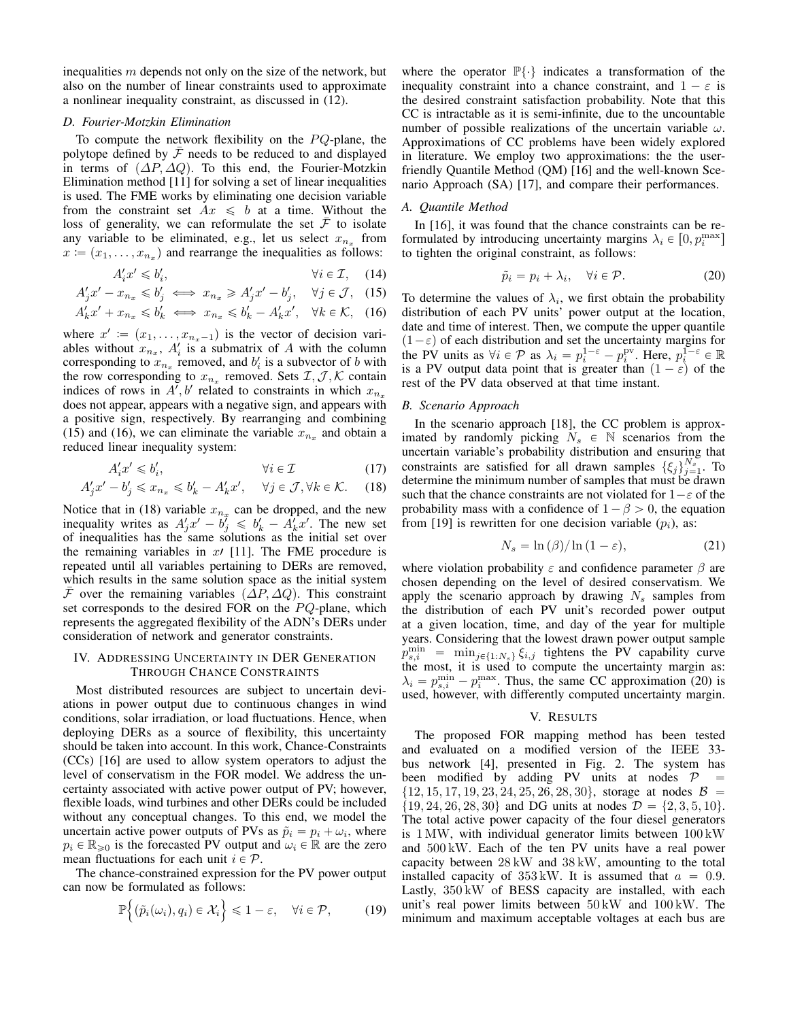inequalities  $m$  depends not only on the size of the network, but also on the number of linear constraints used to approximate a nonlinear inequality constraint, as discussed in (12).

## *D. Fourier-Motzkin Elimination*

To compute the network flexibility on the  $PQ$ -plane, the polytope defined by  $\mathcal F$  needs to be reduced to and displayed in terms of  $(\Delta P, \Delta Q)$ . To this end, the Fourier-Motzkin Elimination method [11] for solving a set of linear inequalities is used. The FME works by eliminating one decision variable from the constraint set  $Ax \leq b$  at a time. Without the loss of generality, we can reformulate the set  $\mathcal F$  to isolate any variable to be eliminated, e.g., let us select  $x_{n_x}$  from  $x := (x_1, \ldots, x_{n_x})$  and rearrange the inequalities as follows:

$$
A_i' x' \leq b_i', \qquad \forall i \in \mathcal{I}, \quad (14)
$$

$$
A'_j x' - x_{n_x} \leq b'_j \iff x_{n_x} \geq A'_j x' - b'_j, \quad \forall j \in \mathcal{J}, \tag{15}
$$

$$
A'_k x' + x_{n_x} \leq b'_k \iff x_{n_x} \leq b'_k - A'_k x', \quad \forall k \in \mathcal{K}, \quad (16)
$$

where  $x' := (x_1, \ldots, x_{n_x-1})$  is the vector of decision variables without  $x_{n_x}$ ,  $A'_i$  is a submatrix of A with the column corresponding to  $x_{n_x}$  removed, and  $b'_i$  is a subvector of b with the row corresponding to  $x_{n_x}$  removed. Sets  $\mathcal{I}, \mathcal{J}, \mathcal{K}$  contain indices of rows in  $A', b'$  related to constraints in which  $x_{n_x}$ does not appear, appears with a negative sign, and appears with a positive sign, respectively. By rearranging and combining (15) and (16), we can eliminate the variable  $x_{n_x}$  and obtain a reduced linear inequality system:

$$
A_i' x' \leqslant b_i', \qquad \qquad \forall i \in \mathcal{I} \tag{17}
$$

$$
A_j' x' - b_j' \leq x_{n_x} \leq b_k' - A_k' x', \quad \forall j \in \mathcal{J}, \forall k \in \mathcal{K}.
$$
 (18)

Notice that in (18) variable  $x_{n_x}$  can be dropped, and the new inequality writes as  $A'_j x' - b'_j \leq b'_k - A'_k x'$ . The new set of inequalities has the same solutions as the initial set over the remaining variables in  $x$ <sup>1</sup> [11]. The FME procedure is repeated until all variables pertaining to DERs are removed, which results in the same solution space as the initial system F over the remaining variables  $(\Delta P, \Delta Q)$ . This constraint set corresponds to the desired FOR on the  $PQ$ -plane, which represents the aggregated flexibility of the ADN's DERs under consideration of network and generator constraints.

### IV. ADDRESSING UNCERTAINTY IN DER GENERATION THROUGH CHANCE CONSTRAINTS

Most distributed resources are subject to uncertain deviations in power output due to continuous changes in wind conditions, solar irradiation, or load fluctuations. Hence, when deploying DERs as a source of flexibility, this uncertainty should be taken into account. In this work, Chance-Constraints (CCs) [16] are used to allow system operators to adjust the level of conservatism in the FOR model. We address the uncertainty associated with active power output of PV; however, flexible loads, wind turbines and other DERs could be included without any conceptual changes. To this end, we model the uncertain active power outputs of PVs as  $\tilde{p}_i = p_i + \omega_i$ , where  $p_i \in \mathbb{R}_{\geq 0}$  is the forecasted PV output and  $\omega_i \in \mathbb{R}$  are the zero mean fluctuations for each unit  $i \in \mathcal{P}$ .

The chance-constrained expression for the PV power output can now be formulated as follows:

$$
\mathbb{P}\Big\{(\tilde{p}_i(\omega_i), q_i) \in \mathcal{X}_i\Big\} \leq 1 - \varepsilon, \quad \forall i \in \mathcal{P}, \tag{19}
$$

where the operator  $\mathbb{P}\{\cdot\}$  indicates a transformation of the inequality constraint into a chance constraint, and  $1 - \varepsilon$  is the desired constraint satisfaction probability. Note that this CC is intractable as it is semi-infinite, due to the uncountable number of possible realizations of the uncertain variable  $\omega$ . Approximations of CC problems have been widely explored in literature. We employ two approximations: the the userfriendly Quantile Method (QM) [16] and the well-known Scenario Approach (SA) [17], and compare their performances.

# *A. Quantile Method*

In [16], it was found that the chance constraints can be reformulated by introducing uncertainty margins  $\lambda_i \in [0, p_i^{\max}]$ to tighten the original constraint, as follows:

$$
\tilde{p}_i = p_i + \lambda_i, \quad \forall i \in \mathcal{P}.
$$
\n(20)

To determine the values of  $\lambda_i$ , we first obtain the probability distribution of each PV units' power output at the location, date and time of interest. Then, we compute the upper quantile  $(1 - \varepsilon)$  of each distribution and set the uncertainty margins for the PV units as  $\forall i \in \mathcal{P}$  as  $\lambda_i = p_i^{1-\epsilon} - p_i^{\text{pv}}$ . Here,  $p_i^{\overline{1-\epsilon}} \in \mathbb{R}$ is a PV output data point that is greater than  $(1 - \varepsilon)$  of the rest of the PV data observed at that time instant.

## *B. Scenario Approach*

In the scenario approach [18], the CC problem is approximated by randomly picking  $N_s \in \mathbb{N}$  scenarios from the uncertain variable's probability distribution and ensuring that constraints are satisfied for all drawn samples  $\{\xi_j\}_{j=1}^{N_s}$ . To determine the minimum number of samples that must be drawn such that the chance constraints are not violated for  $1-\varepsilon$  of the probability mass with a confidence of  $1 - \beta > 0$ , the equation from [19] is rewritten for one decision variable  $(p_i)$ , as:

$$
N_s = \ln(\beta) / \ln(1 - \varepsilon), \tag{21}
$$

where violation probability  $\varepsilon$  and confidence parameter  $\beta$  are chosen depending on the level of desired conservatism. We apply the scenario approach by drawing  $N<sub>s</sub>$  samples from the distribution of each PV unit's recorded power output at a given location, time, and day of the year for multiple years. Considering that the lowest drawn power output sample  $p_{s,i}^{\min}$  =  $\min_{j \in \{1:N_s\}} \xi_{i,j}$  tightens the PV capability curve the most, it is used to compute the uncertainty margin as:  $\lambda_i = p_{s,i}^{\min} - p_i^{\max}$ . Thus, the same CC approximation (20) is used, however, with differently computed uncertainty margin.

## V. RESULTS

The proposed FOR mapping method has been tested and evaluated on a modified version of the IEEE 33 bus network [4], presented in Fig. 2. The system has been modified by adding PV units at nodes  $\mathcal{P}$  $\{12, 15, 17, 19, 23, 24, 25, 26, 28, 30\}$ , storage at nodes  $\mathcal{B} =$  $\{19, 24, 26, 28, 30\}$  and DG units at nodes  $\mathcal{D} = \{2, 3, 5, 10\}.$ The total active power capacity of the four diesel generators is 1 MW, with individual generator limits between 100 kW and 500 kW. Each of the ten PV units have a real power capacity between 28 kW and 38 kW, amounting to the total installed capacity of  $353 \text{kW}$ . It is assumed that  $a = 0.9$ . Lastly, 350 kW of BESS capacity are installed, with each unit's real power limits between 50 kW and 100 kW. The minimum and maximum acceptable voltages at each bus are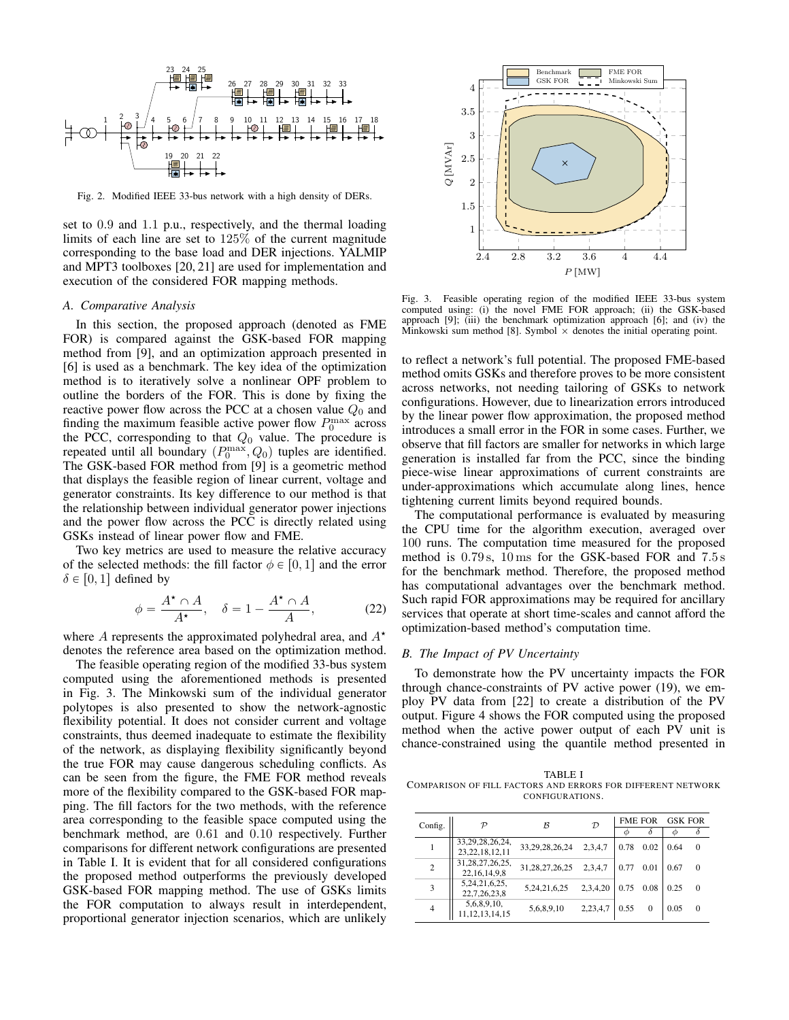

Fig. 2. Modified IEEE 33-bus network with a high density of DERs.

set to 0.9 and 1.1 p.u., respectively, and the thermal loading limits of each line are set to 125% of the current magnitude corresponding to the base load and DER injections. YALMIP and MPT3 toolboxes [20, 21] are used for implementation and execution of the considered FOR mapping methods.

#### *A. Comparative Analysis*

In this section, the proposed approach (denoted as FME FOR) is compared against the GSK-based FOR mapping method from [9], and an optimization approach presented in [6] is used as a benchmark. The key idea of the optimization method is to iteratively solve a nonlinear OPF problem to outline the borders of the FOR. This is done by fixing the reactive power flow across the PCC at a chosen value  $Q_0$  and finding the maximum feasible active power flow  $P_0^{\text{max}}$  across the PCC, corresponding to that  $Q_0$  value. The procedure is repeated until all boundary  $(P_0^{\text{max}}, Q_0)$  tuples are identified. The GSK-based FOR method from [9] is a geometric method that displays the feasible region of linear current, voltage and generator constraints. Its key difference to our method is that the relationship between individual generator power injections and the power flow across the PCC is directly related using GSKs instead of linear power flow and FME.

Two key metrics are used to measure the relative accuracy of the selected methods: the fill factor  $\phi \in [0, 1]$  and the error  $\delta \in [0, 1]$  defined by

$$
\phi = \frac{A^{\star} \cap A}{A^{\star}}, \quad \delta = 1 - \frac{A^{\star} \cap A}{A}, \quad (22)
$$

where A represents the approximated polyhedral area, and  $A^*$ denotes the reference area based on the optimization method.

The feasible operating region of the modified 33-bus system computed using the aforementioned methods is presented in Fig. 3. The Minkowski sum of the individual generator polytopes is also presented to show the network-agnostic flexibility potential. It does not consider current and voltage constraints, thus deemed inadequate to estimate the flexibility of the network, as displaying flexibility significantly beyond the true FOR may cause dangerous scheduling conflicts. As can be seen from the figure, the FME FOR method reveals more of the flexibility compared to the GSK-based FOR mapping. The fill factors for the two methods, with the reference area corresponding to the feasible space computed using the benchmark method, are 0.61 and 0.10 respectively. Further comparisons for different network configurations are presented in Table I. It is evident that for all considered configurations the proposed method outperforms the previously developed GSK-based FOR mapping method. The use of GSKs limits the FOR computation to always result in interdependent, proportional generator injection scenarios, which are unlikely



Fig. 3. Feasible operating region of the modified IEEE 33-bus system computed using: (i) the novel FME FOR approach; (ii) the GSK-based approach [9]; (iii) the benchmark optimization approach [6]; and (iv) the Minkowski sum method [8]. Symbol  $\times$  denotes the initial operating point.

to reflect a network's full potential. The proposed FME-based method omits GSKs and therefore proves to be more consistent across networks, not needing tailoring of GSKs to network configurations. However, due to linearization errors introduced by the linear power flow approximation, the proposed method introduces a small error in the FOR in some cases. Further, we observe that fill factors are smaller for networks in which large generation is installed far from the PCC, since the binding piece-wise linear approximations of current constraints are under-approximations which accumulate along lines, hence tightening current limits beyond required bounds.

The computational performance is evaluated by measuring the CPU time for the algorithm execution, averaged over 100 runs. The computation time measured for the proposed method is 0.79 s, 10 ms for the GSK-based FOR and 7.5 s for the benchmark method. Therefore, the proposed method has computational advantages over the benchmark method. Such rapid FOR approximations may be required for ancillary services that operate at short time-scales and cannot afford the optimization-based method's computation time.

# *B. The Impact of PV Uncertainty*

To demonstrate how the PV uncertainty impacts the FOR through chance-constraints of PV active power (19), we employ PV data from [22] to create a distribution of the PV output. Figure 4 shows the FOR computed using the proposed method when the active power output of each PV unit is chance-constrained using the quantile method presented in

TABLE I COMPARISON OF FILL FACTORS AND ERRORS FOR DIFFERENT NETWORK CONFIGURATIONS.

| Config.        | D                                       | $\mathcal{B}$  | $\mathcal{D}$ | <b>FME FOR</b> |      | <b>GSK FOR</b> |          |
|----------------|-----------------------------------------|----------------|---------------|----------------|------|----------------|----------|
|                |                                         |                |               |                |      |                |          |
| 1              | 33,29,28,26,24,                         | 33,29,28,26,24 | 2,3,4,7       | 0.78           | 0.02 | 0.64           | $\Omega$ |
|                | 23, 22, 18, 12, 11                      |                |               |                |      |                |          |
| 2              | 31, 28, 27, 26, 25,<br>22, 16, 14, 9, 8 | 31,28,27,26,25 | 2,3,4,7       | 0.77           | 0.01 | 0.67           | $\Omega$ |
|                | 5,24,21,6,25,                           |                |               |                |      |                |          |
| 3              | 22,7,26,23,8                            | 5,24,21,6,25   | 2,3,4,20      | 0.75           | 0.08 | 0.25           | $\Omega$ |
| $\overline{4}$ | 5,6,8,9,10,                             | 5,6,8,9,10     | 2,23,4,7      | 0.55           | 0    | 0.05           | $\Omega$ |
|                | 11, 12, 13, 14, 15                      |                |               |                |      |                |          |